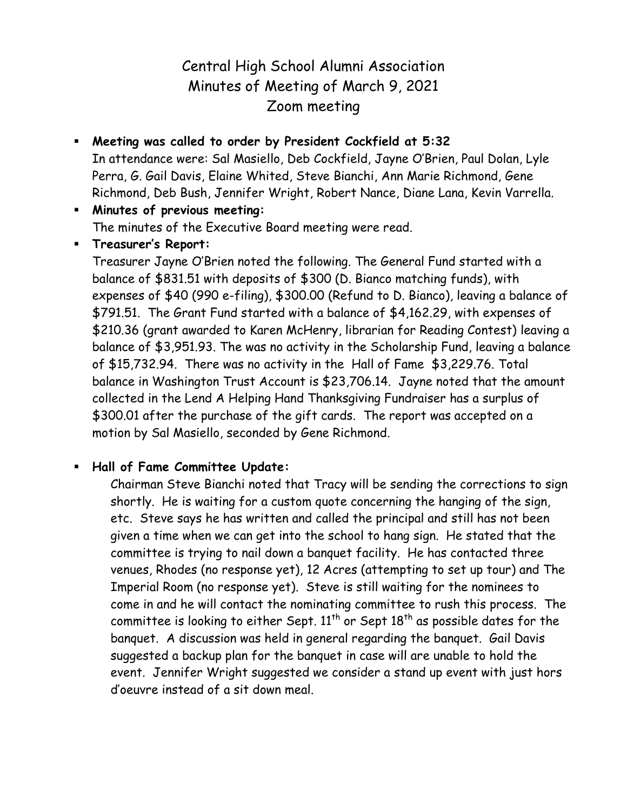# Central High School Alumni Association Minutes of Meeting of March 9, 2021 Zoom meeting

 **Meeting was called to order by President Cockfield at 5:32** In attendance were: Sal Masiello, Deb Cockfield, Jayne O'Brien, Paul Dolan, Lyle Perra, G. Gail Davis, Elaine Whited, Steve Bianchi, Ann Marie Richmond, Gene Richmond, Deb Bush, Jennifer Wright, Robert Nance, Diane Lana, Kevin Varrella.

 **Minutes of previous meeting:** The minutes of the Executive Board meeting were read.

## **Treasurer's Report:**

Treasurer Jayne O'Brien noted the following. The General Fund started with a balance of \$831.51 with deposits of \$300 (D. Bianco matching funds), with expenses of \$40 (990 e-filing), \$300.00 (Refund to D. Bianco), leaving a balance of \$791.51. The Grant Fund started with a balance of \$4,162.29, with expenses of \$210.36 (grant awarded to Karen McHenry, librarian for Reading Contest) leaving a balance of \$3,951.93. The was no activity in the Scholarship Fund, leaving a balance of \$15,732.94. There was no activity in the Hall of Fame \$3,229.76. Total balance in Washington Trust Account is \$23,706.14. Jayne noted that the amount collected in the Lend A Helping Hand Thanksgiving Fundraiser has a surplus of \$300.01 after the purchase of the gift cards. The report was accepted on a motion by Sal Masiello, seconded by Gene Richmond.

## **Hall of Fame Committee Update:**

Chairman Steve Bianchi noted that Tracy will be sending the corrections to sign shortly. He is waiting for a custom quote concerning the hanging of the sign, etc. Steve says he has written and called the principal and still has not been given a time when we can get into the school to hang sign. He stated that the committee is trying to nail down a banquet facility. He has contacted three venues, Rhodes (no response yet), 12 Acres (attempting to set up tour) and The Imperial Room (no response yet). Steve is still waiting for the nominees to come in and he will contact the nominating committee to rush this process. The committee is looking to either Sept.  $11<sup>th</sup>$  or Sept  $18<sup>th</sup>$  as possible dates for the banquet. A discussion was held in general regarding the banquet. Gail Davis suggested a backup plan for the banquet in case will are unable to hold the event. Jennifer Wright suggested we consider a stand up event with just hors d'oeuvre instead of a sit down meal.